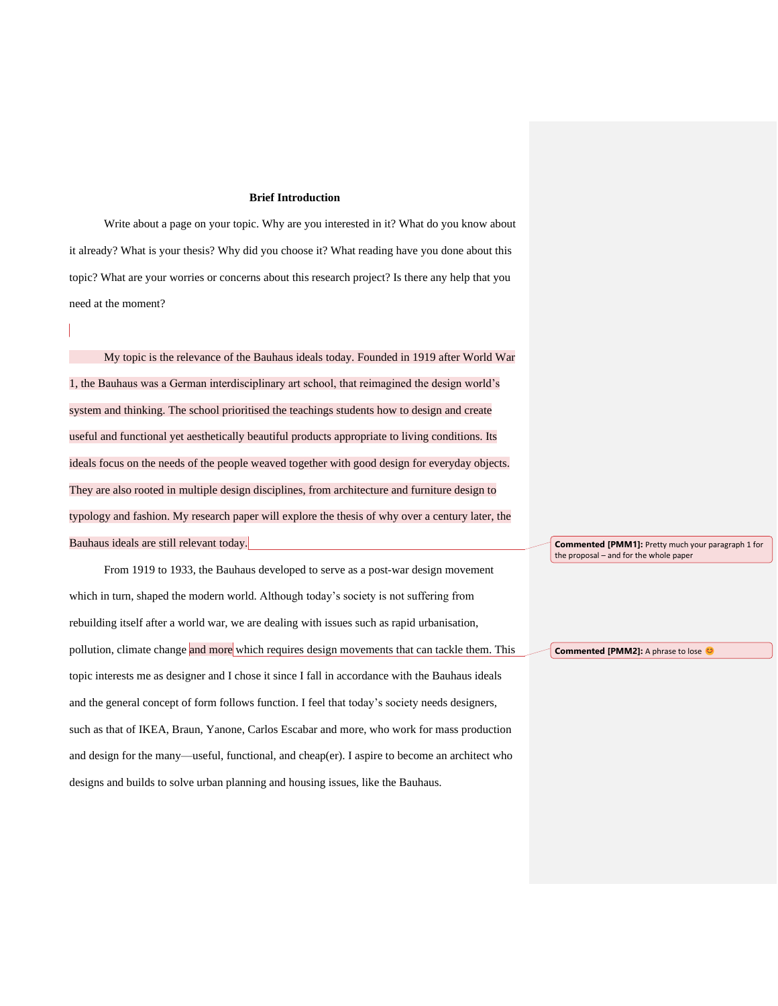#### **Brief Introduction**

Write about a page on your topic. Why are you interested in it? What do you know about it already? What is your thesis? Why did you choose it? What reading have you done about this topic? What are your worries or concerns about this research project? Is there any help that you need at the moment?

My topic is the relevance of the Bauhaus ideals today. Founded in 1919 after World War 1, the Bauhaus was a German interdisciplinary art school, that reimagined the design world's system and thinking. The school prioritised the teachings students how to design and create useful and functional yet aesthetically beautiful products appropriate to living conditions. Its ideals focus on the needs of the people weaved together with good design for everyday objects. They are also rooted in multiple design disciplines, from architecture and furniture design to typology and fashion. My research paper will explore the thesis of why over a century later, the Bauhaus ideals are still relevant today.

From 1919 to 1933, the Bauhaus developed to serve as a post-war design movement which in turn, shaped the modern world. Although today's society is not suffering from rebuilding itself after a world war, we are dealing with issues such as rapid urbanisation, pollution, climate change and more which requires design movements that can tackle them. This topic interests me as designer and I chose it since I fall in accordance with the Bauhaus ideals and the general concept of form follows function. I feel that today's society needs designers, such as that of IKEA, Braun, Yanone, Carlos Escabar and more, who work for mass production and design for the many—useful, functional, and cheap(er). I aspire to become an architect who designs and builds to solve urban planning and housing issues, like the Bauhaus.

**Commented [PMM1]:** Pretty much your paragraph 1 for the proposal – and for the whole paper

**Commented [PMM2]:** A phrase to lose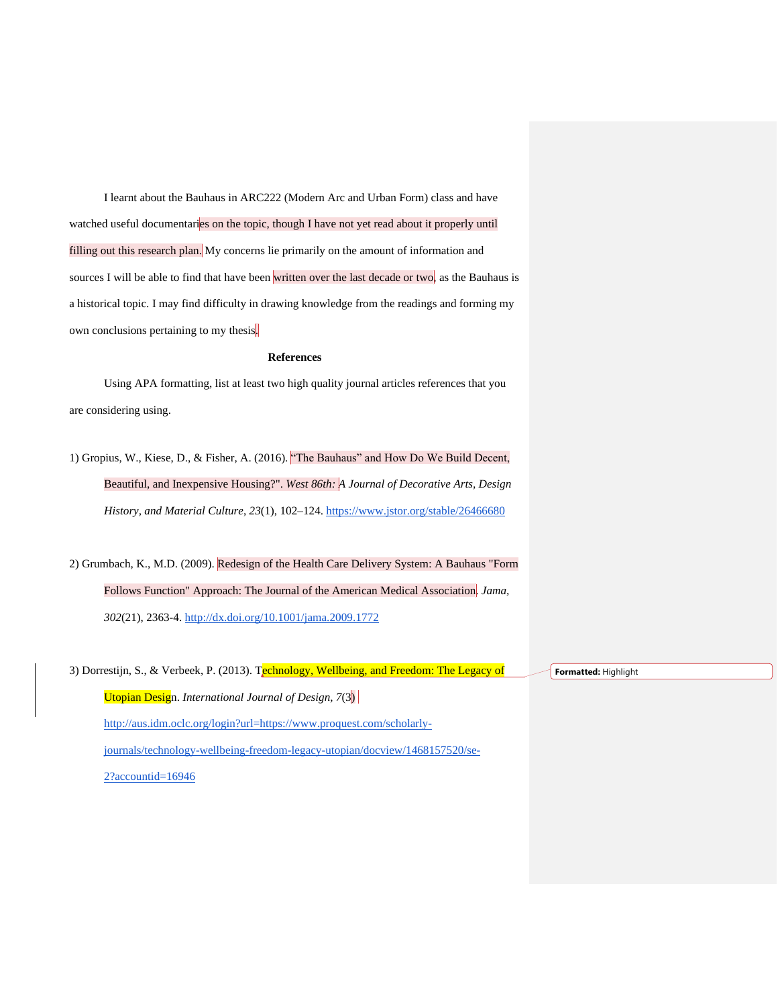I learnt about the Bauhaus in ARC222 (Modern Arc and Urban Form) class and have watched useful documentaries on the topic, though I have not yet read about it properly until filling out this research plan. My concerns lie primarily on the amount of information and sources I will be able to find that have been written over the last decade or two, as the Bauhaus is a historical topic. I may find difficulty in drawing knowledge from the readings and forming my own conclusions pertaining to my thesis.

# **References**

Using APA formatting, list at least two high quality journal articles references that you are considering using.

1) Gropius, W., Kiese, D., & Fisher, A. (2016). "The Bauhaus" and How Do We Build Decent, Beautiful, and Inexpensive Housing?". *West 86th: A Journal of Decorative Arts, Design History, and Material Culture*, *23*(1), 102–124.<https://www.jstor.org/stable/26466680>

2) Grumbach, K., M.D. (2009). Redesign of the Health Care Delivery System: A Bauhaus "Form Follows Function" Approach: The Journal of the American Medical Association. *Jama, 302*(21), 2363-4.<http://dx.doi.org/10.1001/jama.2009.1772>

3) Dorrestijn, S., & Verbeek, P. (2013). Technology, Wellbeing, and Freedom: The Legacy of Utopian Design. *International Journal of Design, 7*(3) http:[//aus.idm.oclc.org/login?url=https://www.proquest.com/scholarly](http://aus.idm.oclc.org/login?url=https://www.proquest.com/scholarly-journals/technology-wellbeing-freedom-legacy-utopian/docview/1468157520/se-2?accountid=16946)[journals/technology-wellbeing-freedom-legacy-utopian/docview/1468157520/se-](http://aus.idm.oclc.org/login?url=https://www.proquest.com/scholarly-journals/technology-wellbeing-freedom-legacy-utopian/docview/1468157520/se-2?accountid=16946)[2?accountid=16946](http://aus.idm.oclc.org/login?url=https://www.proquest.com/scholarly-journals/technology-wellbeing-freedom-legacy-utopian/docview/1468157520/se-2?accountid=16946)

**Formatted:** Highlight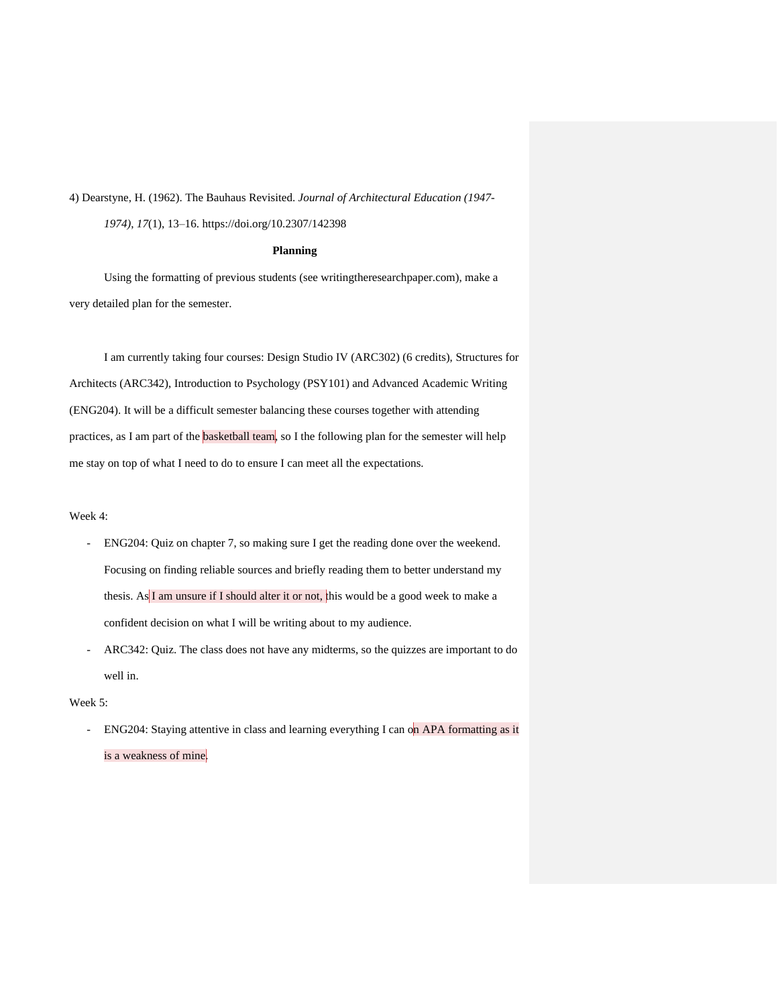4) Dearstyne, H. (1962). The Bauhaus Revisited. *Journal of Architectural Education (1947-*

*1974)*, *17*(1), 13–16. https://doi.org/10.2307/142398

## **Planning**

Using the formatting of previous students (see writingtheresearchpaper.com), make a very detailed plan for the semester.

I am currently taking four courses: Design Studio IV (ARC302) (6 credits), Structures for Architects (ARC342), Introduction to Psychology (PSY101) and Advanced Academic Writing (ENG204). It will be a difficult semester balancing these courses together with attending practices, as I am part of the **basketball team**, so I the following plan for the semester will help me stay on top of what I need to do to ensure I can meet all the expectations.

#### Week 4:

- ENG204: Quiz on chapter 7, so making sure I get the reading done over the weekend. Focusing on finding reliable sources and briefly reading them to better understand my thesis. As I am unsure if I should alter it or not, this would be a good week to make a confident decision on what I will be writing about to my audience.
- ARC342: Quiz. The class does not have any midterms, so the quizzes are important to do well in.

### Week 5:

- ENG204: Staying attentive in class and learning everything I can on APA formatting as it is a weakness of mine.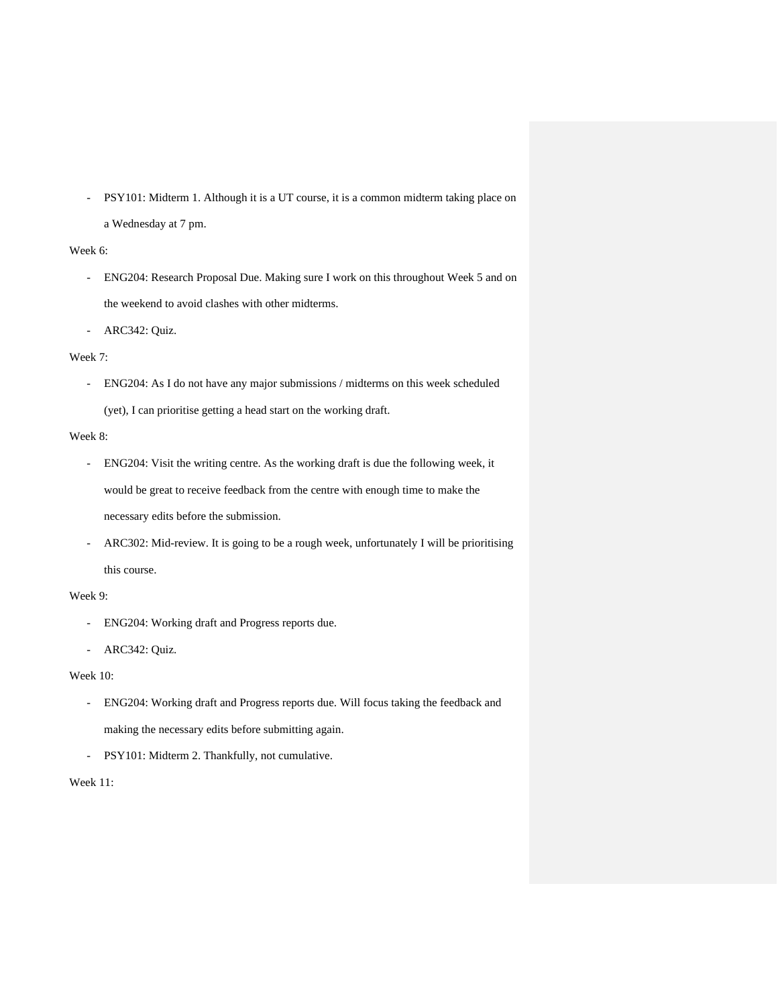- PSY101: Midterm 1. Although it is a UT course, it is a common midterm taking place on a Wednesday at 7 pm.

# Week 6:

- ENG204: Research Proposal Due. Making sure I work on this throughout Week 5 and on the weekend to avoid clashes with other midterms.

- ARC342: Quiz.

## Week 7:

- ENG204: As I do not have any major submissions / midterms on this week scheduled (yet), I can prioritise getting a head start on the working draft.

#### Week 8:

- ENG204: Visit the writing centre. As the working draft is due the following week, it would be great to receive feedback from the centre with enough time to make the necessary edits before the submission.
- ARC302: Mid-review. It is going to be a rough week, unfortunately I will be prioritising this course.

## Week 9:

- ENG204: Working draft and Progress reports due.
- ARC342: Quiz.

## Week 10:

- ENG204: Working draft and Progress reports due. Will focus taking the feedback and making the necessary edits before submitting again.
- PSY101: Midterm 2. Thankfully, not cumulative.

# Week 11: